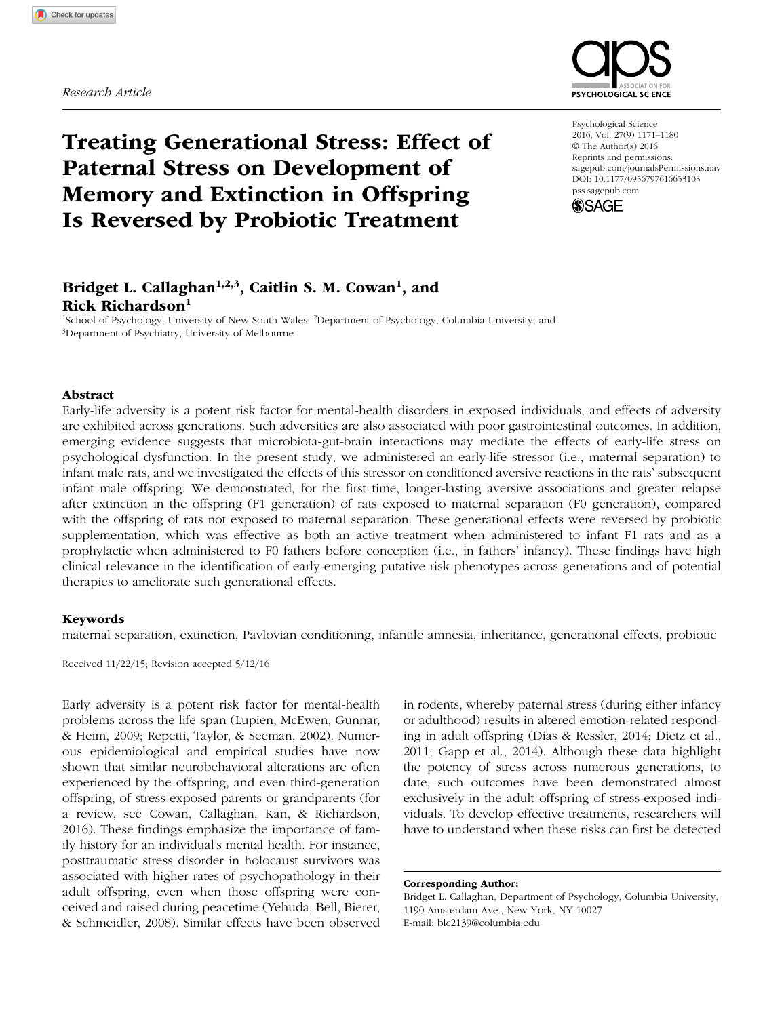*Research Article*



# Treating Generational Stress: Effect of Paternal Stress on Development of Memory and Extinction in Offspring Is Reversed by Probiotic Treatment

Psychological Science 2016, Vol. 27(9) 1171–1180 © The Author(s) 2016 Reprints and permissions: sagepub.com/journalsPermissions.nav DOI: 10.1177/0956797616653103 pss.sagepub.com



# Bridget L. Callaghan<sup>1,2,3</sup>, Caitlin S. M. Cowan<sup>1</sup>, and Rick Richardson<sup>1</sup>

<sup>1</sup>School of Psychology, University of New South Wales; <sup>2</sup>Department of Psychology, Columbia University; and <sup>3</sup>Department of Psychology, Columbia University; and Department of Psychiatry, University of Melbourne

### Abstract

Early-life adversity is a potent risk factor for mental-health disorders in exposed individuals, and effects of adversity are exhibited across generations. Such adversities are also associated with poor gastrointestinal outcomes. In addition, emerging evidence suggests that microbiota-gut-brain interactions may mediate the effects of early-life stress on psychological dysfunction. In the present study, we administered an early-life stressor (i.e., maternal separation) to infant male rats, and we investigated the effects of this stressor on conditioned aversive reactions in the rats' subsequent infant male offspring. We demonstrated, for the first time, longer-lasting aversive associations and greater relapse after extinction in the offspring (F1 generation) of rats exposed to maternal separation (F0 generation), compared with the offspring of rats not exposed to maternal separation. These generational effects were reversed by probiotic supplementation, which was effective as both an active treatment when administered to infant F1 rats and as a prophylactic when administered to F0 fathers before conception (i.e., in fathers' infancy). These findings have high clinical relevance in the identification of early-emerging putative risk phenotypes across generations and of potential therapies to ameliorate such generational effects.

### Keywords

maternal separation, extinction, Pavlovian conditioning, infantile amnesia, inheritance, generational effects, probiotic

Received 11/22/15; Revision accepted 5/12/16

Early adversity is a potent risk factor for mental-health problems across the life span (Lupien, McEwen, Gunnar, & Heim, 2009; Repetti, Taylor, & Seeman, 2002). Numerous epidemiological and empirical studies have now shown that similar neurobehavioral alterations are often experienced by the offspring, and even third-generation offspring, of stress-exposed parents or grandparents (for a review, see Cowan, Callaghan, Kan, & Richardson, 2016). These findings emphasize the importance of family history for an individual's mental health. For instance, posttraumatic stress disorder in holocaust survivors was associated with higher rates of psychopathology in their adult offspring, even when those offspring were conceived and raised during peacetime (Yehuda, Bell, Bierer, & Schmeidler, 2008). Similar effects have been observed

in rodents, whereby paternal stress (during either infancy or adulthood) results in altered emotion-related responding in adult offspring (Dias & Ressler, 2014; Dietz et al., 2011; Gapp et al., 2014). Although these data highlight the potency of stress across numerous generations, to date, such outcomes have been demonstrated almost exclusively in the adult offspring of stress-exposed individuals. To develop effective treatments, researchers will have to understand when these risks can first be detected

Corresponding Author:

Bridget L. Callaghan, Department of Psychology, Columbia University, 1190 Amsterdam Ave., New York, NY 10027 E-mail: blc2139@columbia.edu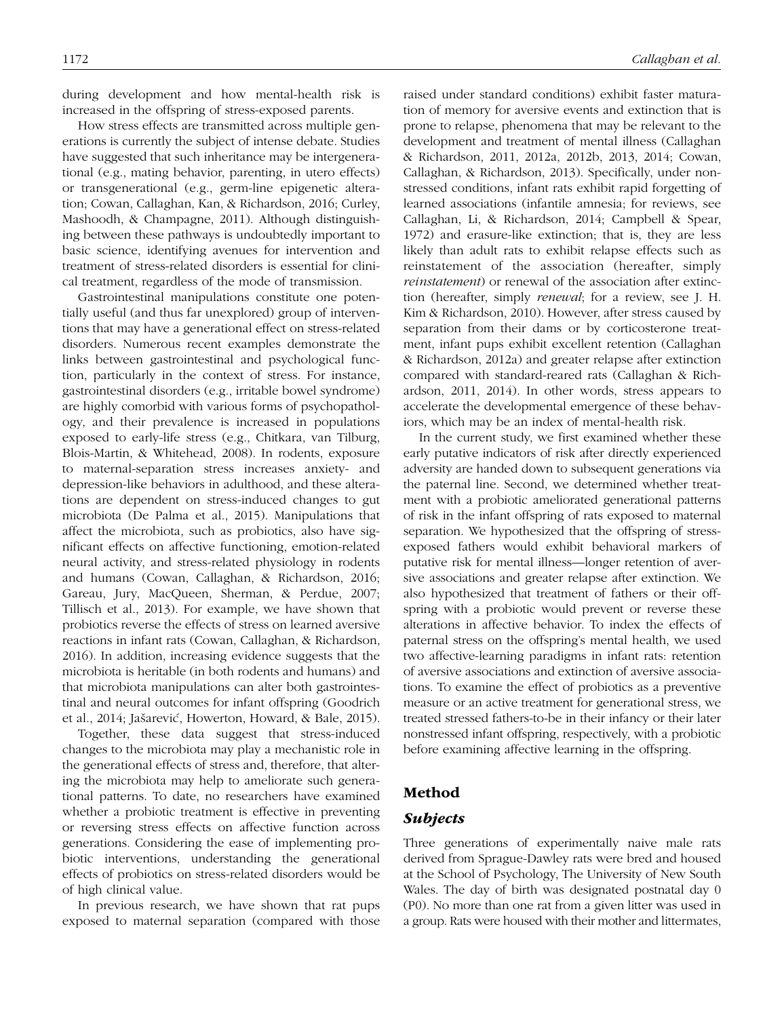during development and how mental-health risk is increased in the offspring of stress-exposed parents.

How stress effects are transmitted across multiple generations is currently the subject of intense debate. Studies have suggested that such inheritance may be intergenerational (e.g., mating behavior, parenting, in utero effects) or transgenerational (e.g., germ-line epigenetic alteration; Cowan, Callaghan, Kan, & Richardson, 2016; Curley, Mashoodh, & Champagne, 2011). Although distinguishing between these pathways is undoubtedly important to basic science, identifying avenues for intervention and treatment of stress-related disorders is essential for clinical treatment, regardless of the mode of transmission.

Gastrointestinal manipulations constitute one potentially useful (and thus far unexplored) group of interventions that may have a generational effect on stress-related disorders. Numerous recent examples demonstrate the links between gastrointestinal and psychological function, particularly in the context of stress. For instance, gastrointestinal disorders (e.g., irritable bowel syndrome) are highly comorbid with various forms of psychopathology, and their prevalence is increased in populations exposed to early-life stress (e.g., Chitkara, van Tilburg, Blois-Martin, & Whitehead, 2008). In rodents, exposure to maternal-separation stress increases anxiety- and depression-like behaviors in adulthood, and these alterations are dependent on stress-induced changes to gut microbiota (De Palma et al., 2015). Manipulations that affect the microbiota, such as probiotics, also have significant effects on affective functioning, emotion-related neural activity, and stress-related physiology in rodents and humans (Cowan, Callaghan, & Richardson, 2016; Gareau, Jury, MacQueen, Sherman, & Perdue, 2007; Tillisch et al., 2013). For example, we have shown that probiotics reverse the effects of stress on learned aversive reactions in infant rats (Cowan, Callaghan, & Richardson, 2016). In addition, increasing evidence suggests that the microbiota is heritable (in both rodents and humans) and that microbiota manipulations can alter both gastrointestinal and neural outcomes for infant offspring (Goodrich et al., 2014; Jašarević, Howerton, Howard, & Bale, 2015).

Together, these data suggest that stress-induced changes to the microbiota may play a mechanistic role in the generational effects of stress and, therefore, that altering the microbiota may help to ameliorate such generational patterns. To date, no researchers have examined whether a probiotic treatment is effective in preventing or reversing stress effects on affective function across generations. Considering the ease of implementing probiotic interventions, understanding the generational effects of probiotics on stress-related disorders would be of high clinical value.

In previous research, we have shown that rat pups exposed to maternal separation (compared with those raised under standard conditions) exhibit faster maturation of memory for aversive events and extinction that is prone to relapse, phenomena that may be relevant to the development and treatment of mental illness (Callaghan & Richardson, 2011, 2012a, 2012b, 2013, 2014; Cowan, Callaghan, & Richardson, 2013). Specifically, under nonstressed conditions, infant rats exhibit rapid forgetting of learned associations (infantile amnesia; for reviews, see Callaghan, Li, & Richardson, 2014; Campbell & Spear, 1972) and erasure-like extinction; that is, they are less likely than adult rats to exhibit relapse effects such as reinstatement of the association (hereafter, simply *reinstatement*) or renewal of the association after extinction (hereafter, simply *renewal*; for a review, see J. H. Kim & Richardson, 2010). However, after stress caused by separation from their dams or by corticosterone treatment, infant pups exhibit excellent retention (Callaghan & Richardson, 2012a) and greater relapse after extinction compared with standard-reared rats (Callaghan & Richardson, 2011, 2014). In other words, stress appears to accelerate the developmental emergence of these behaviors, which may be an index of mental-health risk.

In the current study, we first examined whether these early putative indicators of risk after directly experienced adversity are handed down to subsequent generations via the paternal line. Second, we determined whether treatment with a probiotic ameliorated generational patterns of risk in the infant offspring of rats exposed to maternal separation. We hypothesized that the offspring of stressexposed fathers would exhibit behavioral markers of putative risk for mental illness—longer retention of aversive associations and greater relapse after extinction. We also hypothesized that treatment of fathers or their offspring with a probiotic would prevent or reverse these alterations in affective behavior. To index the effects of paternal stress on the offspring's mental health, we used two affective-learning paradigms in infant rats: retention of aversive associations and extinction of aversive associations. To examine the effect of probiotics as a preventive measure or an active treatment for generational stress, we treated stressed fathers-to-be in their infancy or their later nonstressed infant offspring, respectively, with a probiotic before examining affective learning in the offspring.

# Method

### *Subjects*

Three generations of experimentally naive male rats derived from Sprague-Dawley rats were bred and housed at the School of Psychology, The University of New South Wales. The day of birth was designated postnatal day 0 (P0). No more than one rat from a given litter was used in a group. Rats were housed with their mother and littermates,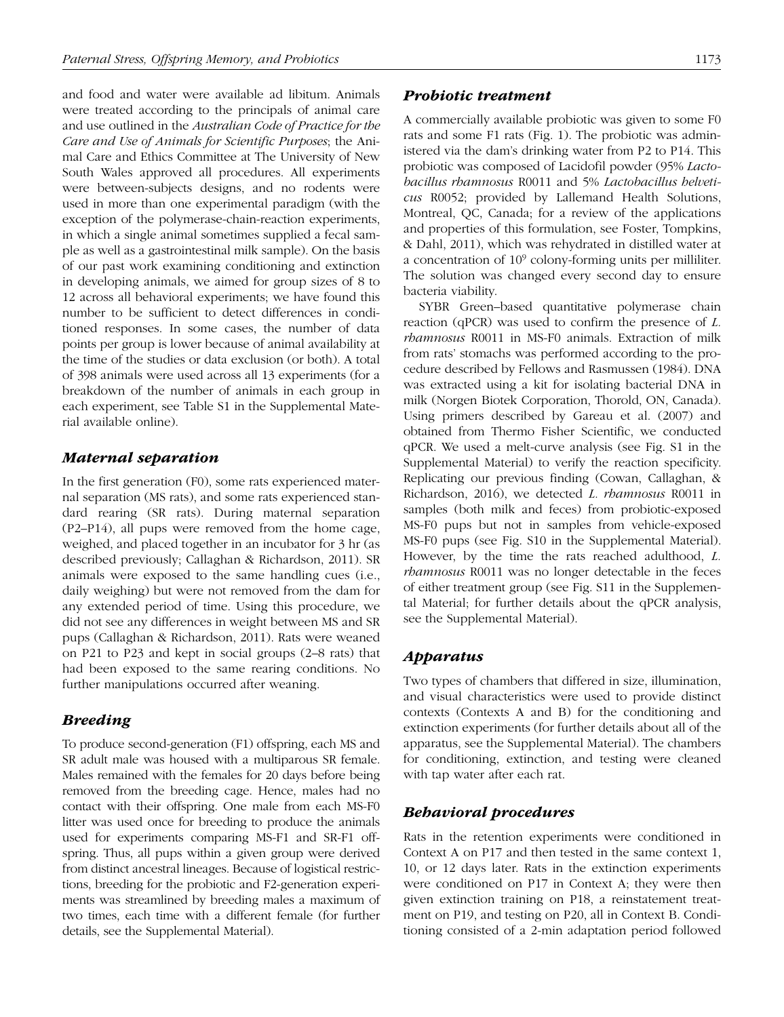and food and water were available ad libitum. Animals were treated according to the principals of animal care and use outlined in the *Australian Code of Practice for the Care and Use of Animals for Scientific Purposes*; the Animal Care and Ethics Committee at The University of New South Wales approved all procedures. All experiments were between-subjects designs, and no rodents were used in more than one experimental paradigm (with the exception of the polymerase-chain-reaction experiments, in which a single animal sometimes supplied a fecal sample as well as a gastrointestinal milk sample). On the basis of our past work examining conditioning and extinction in developing animals, we aimed for group sizes of 8 to 12 across all behavioral experiments; we have found this number to be sufficient to detect differences in conditioned responses. In some cases, the number of data points per group is lower because of animal availability at the time of the studies or data exclusion (or both). A total of 398 animals were used across all 13 experiments (for a breakdown of the number of animals in each group in each experiment, see Table S1 in the Supplemental Material available online).

# *Maternal separation*

In the first generation (F0), some rats experienced maternal separation (MS rats), and some rats experienced standard rearing (SR rats). During maternal separation (P2–P14), all pups were removed from the home cage, weighed, and placed together in an incubator for 3 hr (as described previously; Callaghan & Richardson, 2011). SR animals were exposed to the same handling cues (i.e., daily weighing) but were not removed from the dam for any extended period of time. Using this procedure, we did not see any differences in weight between MS and SR pups (Callaghan & Richardson, 2011). Rats were weaned on P21 to P23 and kept in social groups (2–8 rats) that had been exposed to the same rearing conditions. No further manipulations occurred after weaning.

# *Breeding*

To produce second-generation (F1) offspring, each MS and SR adult male was housed with a multiparous SR female. Males remained with the females for 20 days before being removed from the breeding cage. Hence, males had no contact with their offspring. One male from each MS-F0 litter was used once for breeding to produce the animals used for experiments comparing MS-F1 and SR-F1 offspring. Thus, all pups within a given group were derived from distinct ancestral lineages. Because of logistical restrictions, breeding for the probiotic and F2-generation experiments was streamlined by breeding males a maximum of two times, each time with a different female (for further details, see the Supplemental Material).

### *Probiotic treatment*

A commercially available probiotic was given to some F0 rats and some F1 rats (Fig. 1). The probiotic was administered via the dam's drinking water from P2 to P14. This probiotic was composed of Lacidofil powder (95% *Lactobacillus rhamnosus* R0011 and 5% *Lactobacillus helveticus* R0052; provided by Lallemand Health Solutions, Montreal, QC, Canada; for a review of the applications and properties of this formulation, see Foster, Tompkins, & Dahl, 2011), which was rehydrated in distilled water at a concentration of 10<sup>9</sup> colony-forming units per milliliter. The solution was changed every second day to ensure bacteria viability.

SYBR Green–based quantitative polymerase chain reaction (qPCR) was used to confirm the presence of *L. rhamnosus* R0011 in MS-F0 animals. Extraction of milk from rats' stomachs was performed according to the procedure described by Fellows and Rasmussen (1984). DNA was extracted using a kit for isolating bacterial DNA in milk (Norgen Biotek Corporation, Thorold, ON, Canada). Using primers described by Gareau et al. (2007) and obtained from Thermo Fisher Scientific, we conducted qPCR. We used a melt-curve analysis (see Fig. S1 in the Supplemental Material) to verify the reaction specificity. Replicating our previous finding (Cowan, Callaghan, & Richardson, 2016), we detected *L. rhamnosus* R0011 in samples (both milk and feces) from probiotic-exposed MS-F0 pups but not in samples from vehicle-exposed MS-F0 pups (see Fig. S10 in the Supplemental Material). However, by the time the rats reached adulthood, *L. rhamnosus* R0011 was no longer detectable in the feces of either treatment group (see Fig. S11 in the Supplemental Material; for further details about the qPCR analysis, see the Supplemental Material).

# *Apparatus*

Two types of chambers that differed in size, illumination, and visual characteristics were used to provide distinct contexts (Contexts A and B) for the conditioning and extinction experiments (for further details about all of the apparatus, see the Supplemental Material). The chambers for conditioning, extinction, and testing were cleaned with tap water after each rat.

### *Behavioral procedures*

Rats in the retention experiments were conditioned in Context A on P17 and then tested in the same context 1, 10, or 12 days later. Rats in the extinction experiments were conditioned on P17 in Context A; they were then given extinction training on P18, a reinstatement treatment on P19, and testing on P20, all in Context B. Conditioning consisted of a 2-min adaptation period followed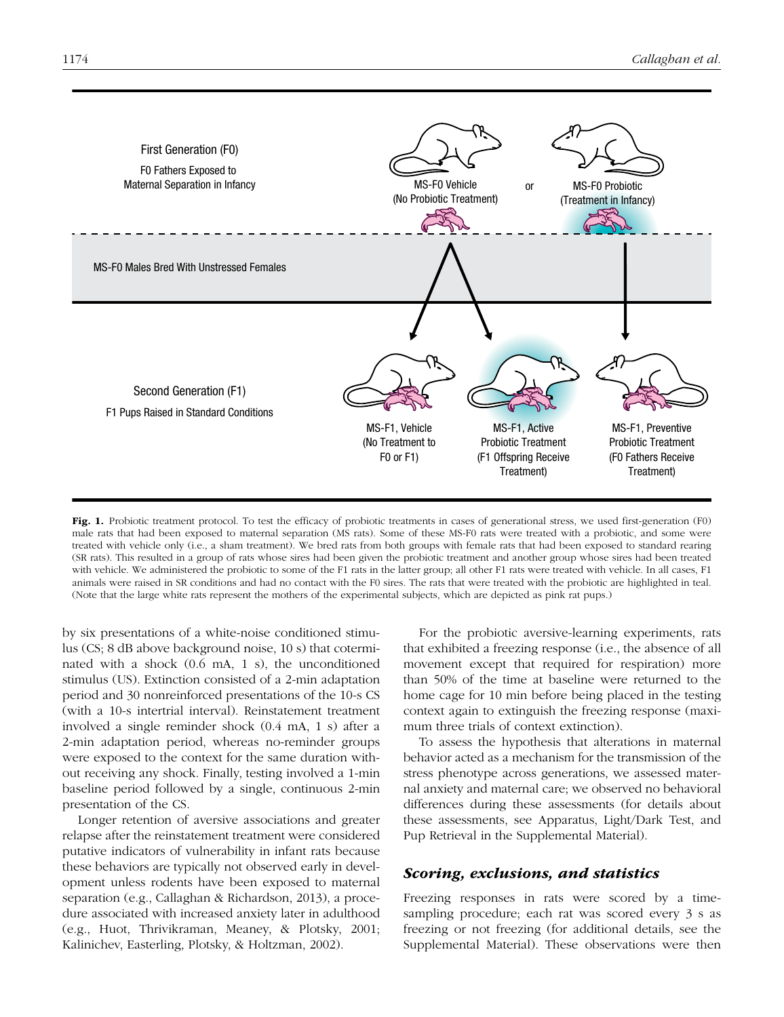

Fig. 1. Probiotic treatment protocol. To test the efficacy of probiotic treatments in cases of generational stress, we used first-generation (F0) male rats that had been exposed to maternal separation (MS rats). Some of these MS-F0 rats were treated with a probiotic, and some were treated with vehicle only (i.e., a sham treatment). We bred rats from both groups with female rats that had been exposed to standard rearing (SR rats). This resulted in a group of rats whose sires had been given the probiotic treatment and another group whose sires had been treated with vehicle. We administered the probiotic to some of the F1 rats in the latter group; all other F1 rats were treated with vehicle. In all cases, F1 animals were raised in SR conditions and had no contact with the F0 sires. The rats that were treated with the probiotic are highlighted in teal. (Note that the large white rats represent the mothers of the experimental subjects, which are depicted as pink rat pups.)

by six presentations of a white-noise conditioned stimulus (CS; 8 dB above background noise, 10 s) that coterminated with a shock (0.6 mA, 1 s), the unconditioned stimulus (US). Extinction consisted of a 2-min adaptation period and 30 nonreinforced presentations of the 10-s CS (with a 10-s intertrial interval). Reinstatement treatment involved a single reminder shock (0.4 mA, 1 s) after a 2-min adaptation period, whereas no-reminder groups were exposed to the context for the same duration without receiving any shock. Finally, testing involved a 1-min baseline period followed by a single, continuous 2-min presentation of the CS.

Longer retention of aversive associations and greater relapse after the reinstatement treatment were considered putative indicators of vulnerability in infant rats because these behaviors are typically not observed early in development unless rodents have been exposed to maternal separation (e.g., Callaghan & Richardson, 2013), a procedure associated with increased anxiety later in adulthood (e.g., Huot, Thrivikraman, Meaney, & Plotsky, 2001; Kalinichev, Easterling, Plotsky, & Holtzman, 2002).

For the probiotic aversive-learning experiments, rats that exhibited a freezing response (i.e., the absence of all movement except that required for respiration) more than 50% of the time at baseline were returned to the home cage for 10 min before being placed in the testing context again to extinguish the freezing response (maximum three trials of context extinction).

To assess the hypothesis that alterations in maternal behavior acted as a mechanism for the transmission of the stress phenotype across generations, we assessed maternal anxiety and maternal care; we observed no behavioral differences during these assessments (for details about these assessments, see Apparatus, Light/Dark Test, and Pup Retrieval in the Supplemental Material).

# *Scoring, exclusions, and statistics*

Freezing responses in rats were scored by a timesampling procedure; each rat was scored every 3 s as freezing or not freezing (for additional details, see the Supplemental Material). These observations were then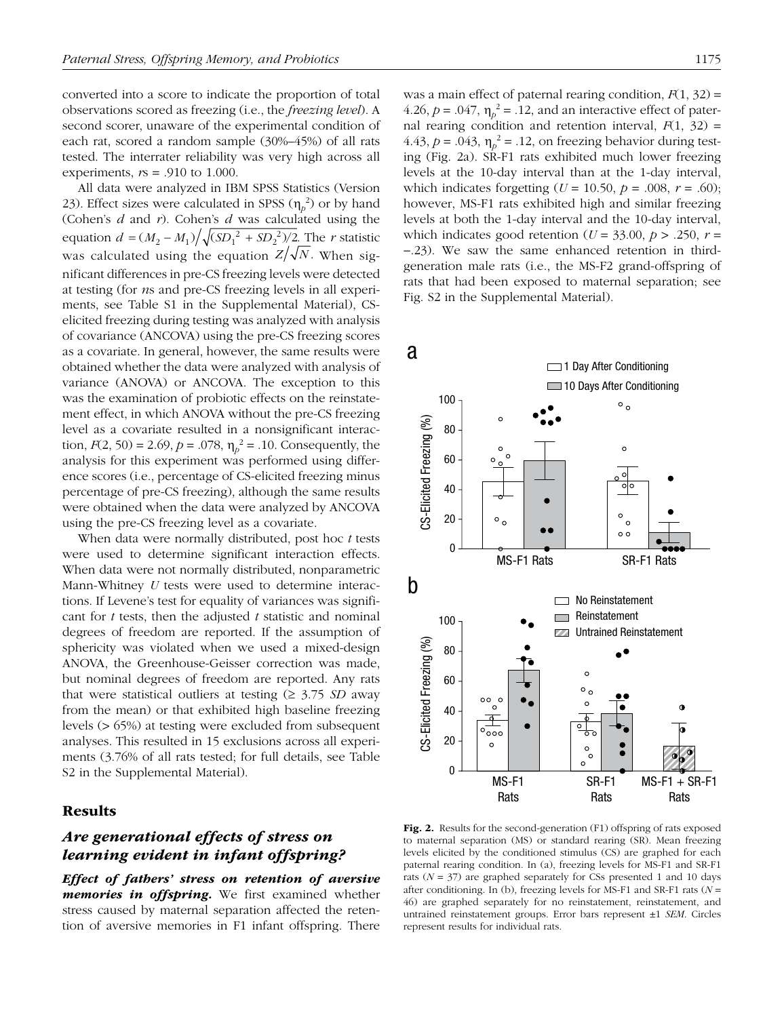converted into a score to indicate the proportion of total observations scored as freezing (i.e., the *freezing level*). A second scorer, unaware of the experimental condition of each rat, scored a random sample (30%–45%) of all rats tested. The interrater reliability was very high across all experiments,  $rs = .910$  to 1.000.

All data were analyzed in IBM SPSS Statistics (Version 23). Effect sizes were calculated in SPSS  $(\eta_p^2)$  or by hand (Cohen's *d* and *r*). Cohen's *d* was calculated using the equation  $d = (M_2 - M_1) / \sqrt{(SD_1^2 + SD_2^2)/2}$ . The *r* statistic was calculated using the equation  $Z/\sqrt{N}$ . When significant differences in pre-CS freezing levels were detected at testing (for *n*s and pre-CS freezing levels in all experiments, see Table S1 in the Supplemental Material), CSelicited freezing during testing was analyzed with analysis of covariance (ANCOVA) using the pre-CS freezing scores as a covariate. In general, however, the same results were obtained whether the data were analyzed with analysis of variance (ANOVA) or ANCOVA. The exception to this was the examination of probiotic effects on the reinstatement effect, in which ANOVA without the pre-CS freezing level as a covariate resulted in a nonsignificant interaction,  $F(2, 50) = 2.69$ ,  $p = .078$ ,  $\eta_p^2 = .10$ . Consequently, the analysis for this experiment was performed using difference scores (i.e., percentage of CS-elicited freezing minus percentage of pre-CS freezing), although the same results were obtained when the data were analyzed by ANCOVA using the pre-CS freezing level as a covariate.

When data were normally distributed, post hoc *t* tests were used to determine significant interaction effects. When data were not normally distributed, nonparametric Mann-Whitney *U* tests were used to determine interactions. If Levene's test for equality of variances was significant for *t* tests, then the adjusted *t* statistic and nominal degrees of freedom are reported. If the assumption of sphericity was violated when we used a mixed-design ANOVA, the Greenhouse-Geisser correction was made, but nominal degrees of freedom are reported. Any rats that were statistical outliers at testing  $(≥ 3.75 SD)$  away from the mean) or that exhibited high baseline freezing levels (> 65%) at testing were excluded from subsequent analyses. This resulted in 15 exclusions across all experiments (3.76% of all rats tested; for full details, see Table S2 in the Supplemental Material).

# Results

# *Are generational effects of stress on learning evident in infant offspring?*

*Effect of fathers' stress on retention of aversive memories in offspring.* We first examined whether stress caused by maternal separation affected the retention of aversive memories in F1 infant offspring. There was a main effect of paternal rearing condition, *F*(1, 32) = 4.26,  $p = .047$ ,  $\eta_p^2 = .12$ , and an interactive effect of paternal rearing condition and retention interval,  $F(1, 32) =$ 4.43,  $p = .043$ ,  $\eta_p^2 = .12$ , on freezing behavior during testing (Fig. 2a). SR-F1 rats exhibited much lower freezing levels at the 10-day interval than at the 1-day interval, which indicates forgetting  $(U = 10.50, p = .008, r = .60)$ ; however, MS-F1 rats exhibited high and similar freezing levels at both the 1-day interval and the 10-day interval, which indicates good retention ( $U = 33.00$ ,  $p > .250$ ,  $r =$ −.23). We saw the same enhanced retention in thirdgeneration male rats (i.e., the MS-F2 grand-offspring of rats that had been exposed to maternal separation; see Fig. S2 in the Supplemental Material).

a



Fig. 2. Results for the second-generation (F1) offspring of rats exposed to maternal separation (MS) or standard rearing (SR). Mean freezing levels elicited by the conditioned stimulus (CS) are graphed for each paternal rearing condition. In (a), freezing levels for MS-F1 and SR-F1 rats  $(N = 37)$  are graphed separately for CSs presented 1 and 10 days after conditioning. In (b), freezing levels for MS-F1 and SR-F1 rats (*N* = 46) are graphed separately for no reinstatement, reinstatement, and untrained reinstatement groups. Error bars represent ±1 *SEM*. Circles represent results for individual rats.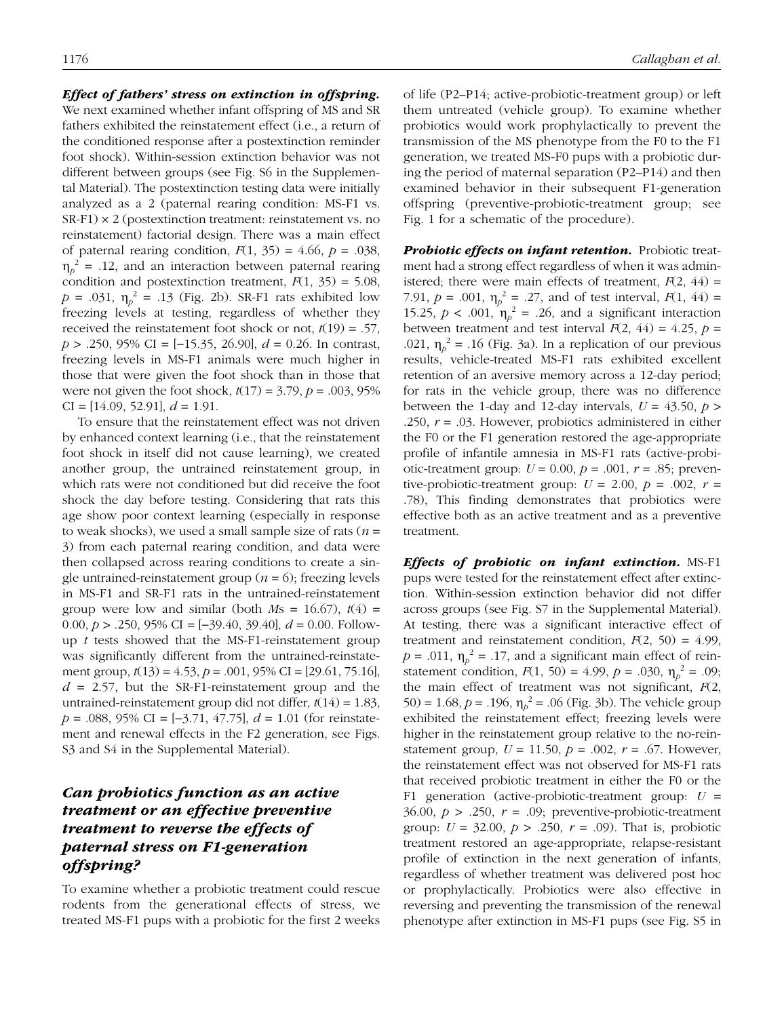### *Effect of fathers' stress on extinction in offspring.*

We next examined whether infant offspring of MS and SR fathers exhibited the reinstatement effect (i.e., a return of the conditioned response after a postextinction reminder foot shock). Within-session extinction behavior was not different between groups (see Fig. S6 in the Supplemental Material). The postextinction testing data were initially analyzed as a 2 (paternal rearing condition: MS-F1 vs.  $SR-F1$ )  $\times$  2 (postextinction treatment: reinstatement vs. no reinstatement) factorial design. There was a main effect of paternal rearing condition,  $F(1, 35) = 4.66$ ,  $p = .038$ ,  $\eta_p^2$  = .12, and an interaction between paternal rearing condition and postextinction treatment,  $F(1, 35) = 5.08$ ,  $p = .031$ ,  $\eta_p^2 = .13$  (Fig. 2b). SR-F1 rats exhibited low freezing levels at testing, regardless of whether they received the reinstatement foot shock or not,  $t(19) = .57$ , *p* > .250, 95% CI = [−15.35, 26.90], *d* = 0.26. In contrast, freezing levels in MS-F1 animals were much higher in those that were given the foot shock than in those that were not given the foot shock, *t*(17) = 3.79, *p* = .003, 95% CI = [14.09, 52.91], *d* = 1.91.

To ensure that the reinstatement effect was not driven by enhanced context learning (i.e., that the reinstatement foot shock in itself did not cause learning), we created another group, the untrained reinstatement group, in which rats were not conditioned but did receive the foot shock the day before testing. Considering that rats this age show poor context learning (especially in response to weak shocks), we used a small sample size of rats (*n* = 3) from each paternal rearing condition, and data were then collapsed across rearing conditions to create a single untrained-reinstatement group ( $n = 6$ ); freezing levels in MS-F1 and SR-F1 rats in the untrained-reinstatement group were low and similar (both  $Ms = 16.67$ ),  $t(4) =$ 0.00, *p* > .250, 95% CI = [−39.40, 39.40], *d* = 0.00. Followup *t* tests showed that the MS-F1-reinstatement group was significantly different from the untrained-reinstatement group, *t*(13) = 4.53, *p* = .001, 95% CI = [29.61, 75.16],  $d = 2.57$ , but the SR-F1-reinstatement group and the untrained-reinstatement group did not differ,  $t(14) = 1.83$ , *p* = .088, 95% CI = [−3.71, 47.75], *d* = 1.01 (for reinstatement and renewal effects in the F2 generation, see Figs. S3 and S4 in the Supplemental Material).

# *Can probiotics function as an active treatment or an effective preventive treatment to reverse the effects of paternal stress on F1-generation offspring?*

To examine whether a probiotic treatment could rescue rodents from the generational effects of stress, we treated MS-F1 pups with a probiotic for the first 2 weeks of life (P2–P14; active-probiotic-treatment group) or left them untreated (vehicle group). To examine whether probiotics would work prophylactically to prevent the transmission of the MS phenotype from the F0 to the F1 generation, we treated MS-F0 pups with a probiotic during the period of maternal separation (P2–P14) and then examined behavior in their subsequent F1-generation offspring (preventive-probiotic-treatment group; see Fig. 1 for a schematic of the procedure).

*Probiotic effects on infant retention.* Probiotic treatment had a strong effect regardless of when it was administered; there were main effects of treatment,  $F(2, 44) =$ 7.91,  $p = .001$ ,  $\eta_p^2 = .27$ , and of test interval,  $F(1, 44) =$ 15.25,  $p < .001$ ,  $\eta_p^2 = .26$ , and a significant interaction between treatment and test interval  $F(2, 44) = 4.25$ ,  $p =$ .021,  $\eta_p^2$  = .16 (Fig. 3a). In a replication of our previous results, vehicle-treated MS-F1 rats exhibited excellent retention of an aversive memory across a 12-day period; for rats in the vehicle group, there was no difference between the 1-day and 12-day intervals,  $U = 43.50$ ,  $p >$ .250, *r* = .03. However, probiotics administered in either the F0 or the F1 generation restored the age-appropriate profile of infantile amnesia in MS-F1 rats (active-probiotic-treatment group:  $U = 0.00$ ,  $p = .001$ ,  $r = .85$ ; preventive-probiotic-treatment group:  $U = 2.00$ ,  $p = .002$ ,  $r =$ .78), This finding demonstrates that probiotics were effective both as an active treatment and as a preventive treatment.

*Effects of probiotic on infant extinction.* MS-F1 pups were tested for the reinstatement effect after extinction. Within-session extinction behavior did not differ across groups (see Fig. S7 in the Supplemental Material). At testing, there was a significant interactive effect of treatment and reinstatement condition,  $F(2, 50) = 4.99$ ,  $p = .011$ ,  $\eta_p^2 = .17$ , and a significant main effect of reinstatement condition,  $F(1, 50) = 4.99$ ,  $p = .030$ ,  $\eta_p^2 = .09$ ; the main effect of treatment was not significant, *F*(2, 50) = 1.68,  $p = 0.196$ ,  $\eta_p^2 = 0.06$  (Fig. 3b). The vehicle group exhibited the reinstatement effect; freezing levels were higher in the reinstatement group relative to the no-reinstatement group,  $U = 11.50$ ,  $p = .002$ ,  $r = .67$ . However, the reinstatement effect was not observed for MS-F1 rats that received probiotic treatment in either the F0 or the F1 generation (active-probiotic-treatment group: *U* = 36.00,  $p > .250$ ,  $r = .09$ ; preventive-probiotic-treatment group: *U* = 32.00, *p* > .250, *r* = .09). That is, probiotic treatment restored an age-appropriate, relapse-resistant profile of extinction in the next generation of infants, regardless of whether treatment was delivered post hoc or prophylactically. Probiotics were also effective in reversing and preventing the transmission of the renewal phenotype after extinction in MS-F1 pups (see Fig. S5 in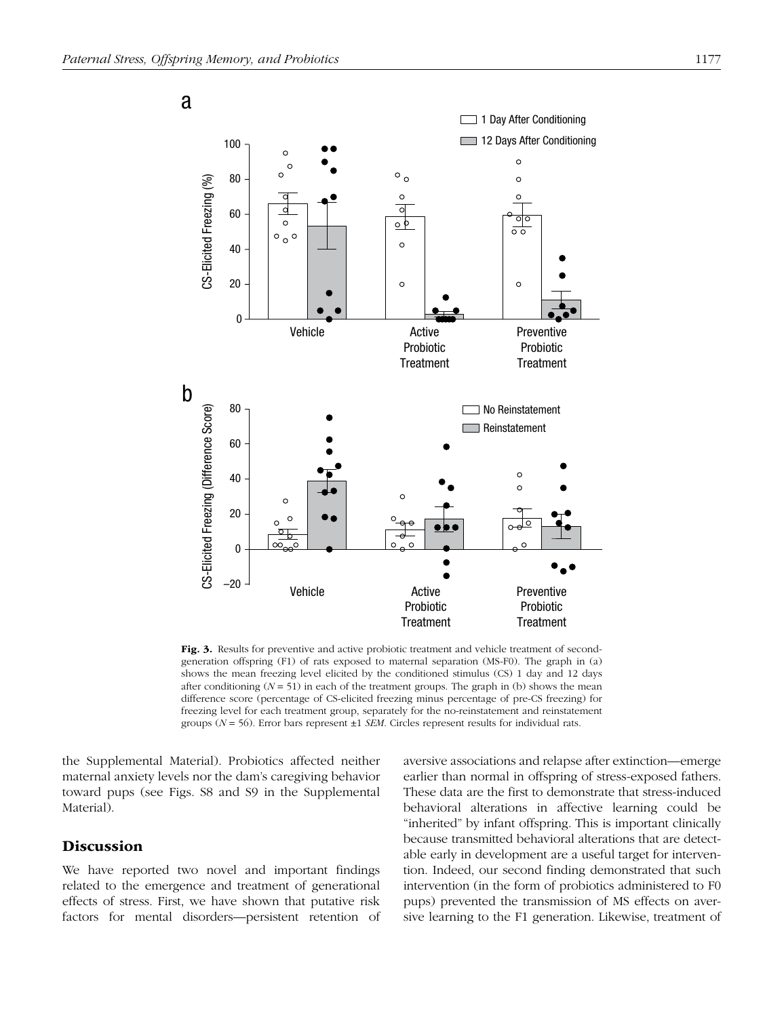

Fig. 3. Results for preventive and active probiotic treatment and vehicle treatment of secondgeneration offspring (F1) of rats exposed to maternal separation (MS-F0). The graph in (a) shows the mean freezing level elicited by the conditioned stimulus (CS) 1 day and 12 days after conditioning  $(N = 51)$  in each of the treatment groups. The graph in (b) shows the mean difference score (percentage of CS-elicited freezing minus percentage of pre-CS freezing) for freezing level for each treatment group, separately for the no-reinstatement and reinstatement groups (*N* = 56). Error bars represent ±1 *SEM*. Circles represent results for individual rats.

the Supplemental Material). Probiotics affected neither maternal anxiety levels nor the dam's caregiving behavior toward pups (see Figs. S8 and S9 in the Supplemental Material).

# **Discussion**

We have reported two novel and important findings related to the emergence and treatment of generational effects of stress. First, we have shown that putative risk factors for mental disorders—persistent retention of aversive associations and relapse after extinction—emerge earlier than normal in offspring of stress-exposed fathers. These data are the first to demonstrate that stress-induced behavioral alterations in affective learning could be "inherited" by infant offspring. This is important clinically because transmitted behavioral alterations that are detectable early in development are a useful target for intervention. Indeed, our second finding demonstrated that such intervention (in the form of probiotics administered to F0 pups) prevented the transmission of MS effects on aversive learning to the F1 generation. Likewise, treatment of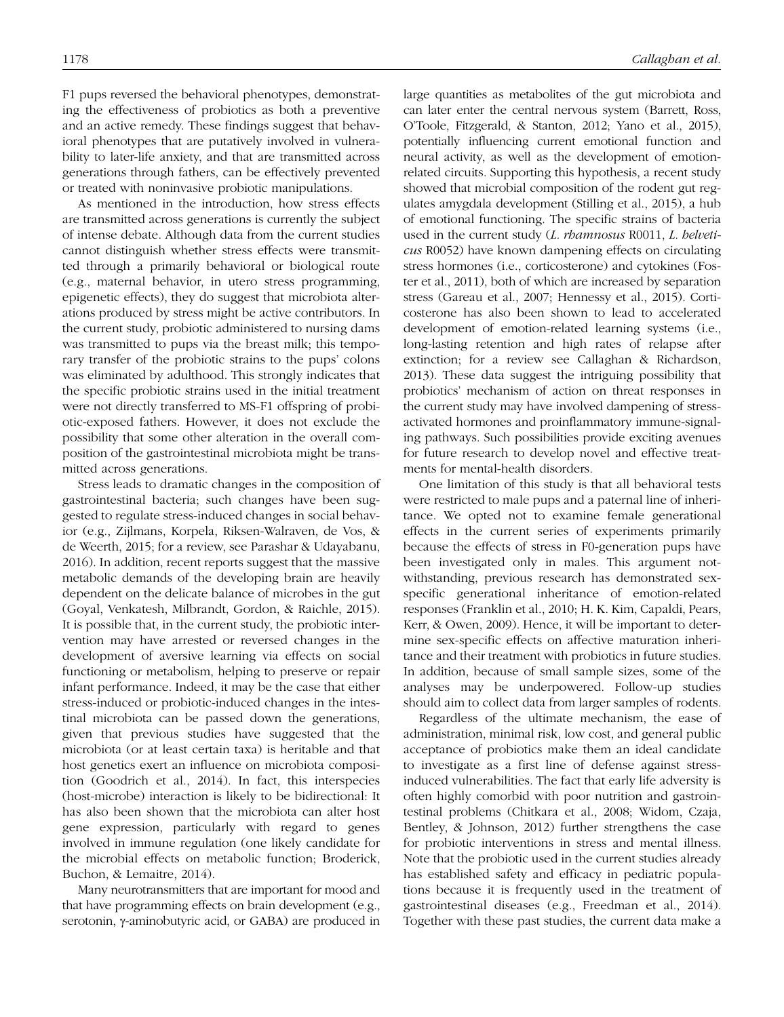F1 pups reversed the behavioral phenotypes, demonstrating the effectiveness of probiotics as both a preventive and an active remedy. These findings suggest that behavioral phenotypes that are putatively involved in vulnerability to later-life anxiety, and that are transmitted across generations through fathers, can be effectively prevented or treated with noninvasive probiotic manipulations.

As mentioned in the introduction, how stress effects are transmitted across generations is currently the subject of intense debate. Although data from the current studies cannot distinguish whether stress effects were transmitted through a primarily behavioral or biological route (e.g., maternal behavior, in utero stress programming, epigenetic effects), they do suggest that microbiota alterations produced by stress might be active contributors. In the current study, probiotic administered to nursing dams was transmitted to pups via the breast milk; this temporary transfer of the probiotic strains to the pups' colons was eliminated by adulthood. This strongly indicates that the specific probiotic strains used in the initial treatment were not directly transferred to MS-F1 offspring of probiotic-exposed fathers. However, it does not exclude the possibility that some other alteration in the overall composition of the gastrointestinal microbiota might be transmitted across generations.

Stress leads to dramatic changes in the composition of gastrointestinal bacteria; such changes have been suggested to regulate stress-induced changes in social behavior (e.g., Zijlmans, Korpela, Riksen-Walraven, de Vos, & de Weerth, 2015; for a review, see Parashar & Udayabanu, 2016). In addition, recent reports suggest that the massive metabolic demands of the developing brain are heavily dependent on the delicate balance of microbes in the gut (Goyal, Venkatesh, Milbrandt, Gordon, & Raichle, 2015). It is possible that, in the current study, the probiotic intervention may have arrested or reversed changes in the development of aversive learning via effects on social functioning or metabolism, helping to preserve or repair infant performance. Indeed, it may be the case that either stress-induced or probiotic-induced changes in the intestinal microbiota can be passed down the generations, given that previous studies have suggested that the microbiota (or at least certain taxa) is heritable and that host genetics exert an influence on microbiota composition (Goodrich et al., 2014). In fact, this interspecies (host-microbe) interaction is likely to be bidirectional: It has also been shown that the microbiota can alter host gene expression, particularly with regard to genes involved in immune regulation (one likely candidate for the microbial effects on metabolic function; Broderick, Buchon, & Lemaitre, 2014).

Many neurotransmitters that are important for mood and that have programming effects on brain development (e.g., serotonin, γ-aminobutyric acid, or GABA) are produced in large quantities as metabolites of the gut microbiota and can later enter the central nervous system (Barrett, Ross, O'Toole, Fitzgerald, & Stanton, 2012; Yano et al., 2015), potentially influencing current emotional function and neural activity, as well as the development of emotionrelated circuits. Supporting this hypothesis, a recent study showed that microbial composition of the rodent gut regulates amygdala development (Stilling et al., 2015), a hub of emotional functioning. The specific strains of bacteria used in the current study (*L. rhamnosus* R0011, *L. helveticus* R0052) have known dampening effects on circulating stress hormones (i.e., corticosterone) and cytokines (Foster et al., 2011), both of which are increased by separation stress (Gareau et al., 2007; Hennessy et al., 2015). Corticosterone has also been shown to lead to accelerated development of emotion-related learning systems (i.e., long-lasting retention and high rates of relapse after extinction; for a review see Callaghan & Richardson, 2013). These data suggest the intriguing possibility that probiotics' mechanism of action on threat responses in the current study may have involved dampening of stressactivated hormones and proinflammatory immune-signaling pathways. Such possibilities provide exciting avenues for future research to develop novel and effective treatments for mental-health disorders.

One limitation of this study is that all behavioral tests were restricted to male pups and a paternal line of inheritance. We opted not to examine female generational effects in the current series of experiments primarily because the effects of stress in F0-generation pups have been investigated only in males. This argument notwithstanding, previous research has demonstrated sexspecific generational inheritance of emotion-related responses (Franklin et al., 2010; H. K. Kim, Capaldi, Pears, Kerr, & Owen, 2009). Hence, it will be important to determine sex-specific effects on affective maturation inheritance and their treatment with probiotics in future studies. In addition, because of small sample sizes, some of the analyses may be underpowered. Follow-up studies should aim to collect data from larger samples of rodents.

Regardless of the ultimate mechanism, the ease of administration, minimal risk, low cost, and general public acceptance of probiotics make them an ideal candidate to investigate as a first line of defense against stressinduced vulnerabilities. The fact that early life adversity is often highly comorbid with poor nutrition and gastrointestinal problems (Chitkara et al., 2008; Widom, Czaja, Bentley, & Johnson, 2012) further strengthens the case for probiotic interventions in stress and mental illness. Note that the probiotic used in the current studies already has established safety and efficacy in pediatric populations because it is frequently used in the treatment of gastrointestinal diseases (e.g., Freedman et al., 2014). Together with these past studies, the current data make a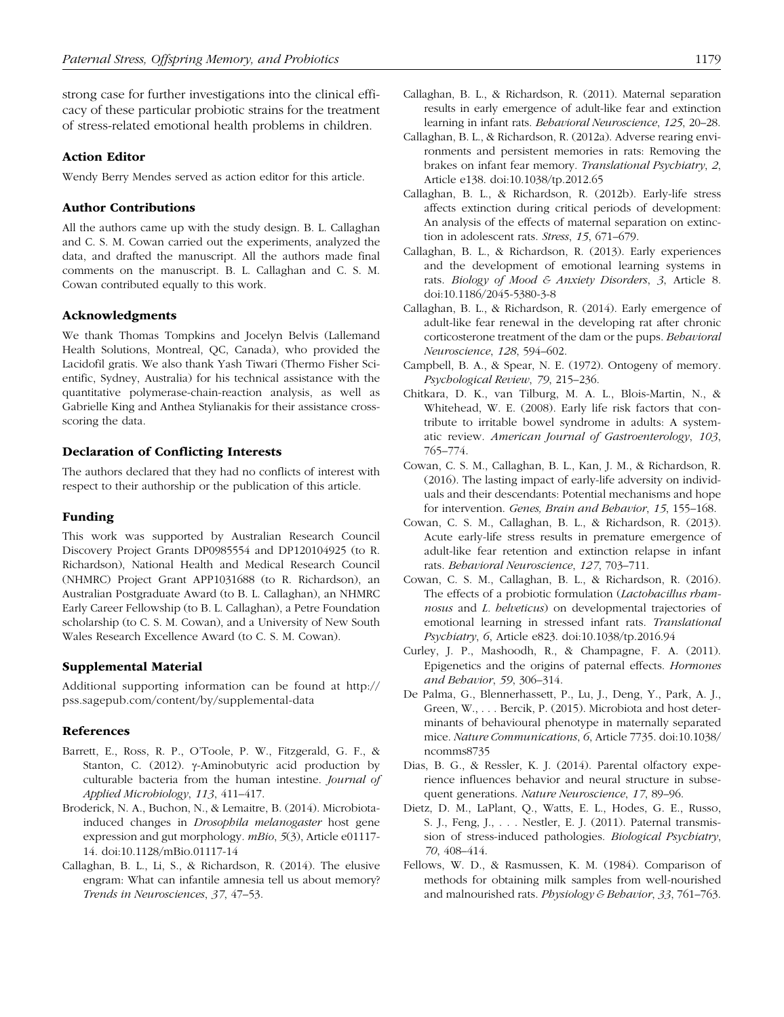strong case for further investigations into the clinical efficacy of these particular probiotic strains for the treatment of stress-related emotional health problems in children.

### Action Editor

Wendy Berry Mendes served as action editor for this article.

### Author Contributions

All the authors came up with the study design. B. L. Callaghan and C. S. M. Cowan carried out the experiments, analyzed the data, and drafted the manuscript. All the authors made final comments on the manuscript. B. L. Callaghan and C. S. M. Cowan contributed equally to this work.

#### Acknowledgments

We thank Thomas Tompkins and Jocelyn Belvis (Lallemand Health Solutions, Montreal, QC, Canada), who provided the Lacidofil gratis. We also thank Yash Tiwari (Thermo Fisher Scientific, Sydney, Australia) for his technical assistance with the quantitative polymerase-chain-reaction analysis, as well as Gabrielle King and Anthea Stylianakis for their assistance crossscoring the data.

# Declaration of Conflicting Interests

The authors declared that they had no conflicts of interest with respect to their authorship or the publication of this article.

### Funding

This work was supported by Australian Research Council Discovery Project Grants DP0985554 and DP120104925 (to R. Richardson), National Health and Medical Research Council (NHMRC) Project Grant APP1031688 (to R. Richardson), an Australian Postgraduate Award (to B. L. Callaghan), an NHMRC Early Career Fellowship (to B. L. Callaghan), a Petre Foundation scholarship (to C. S. M. Cowan), and a University of New South Wales Research Excellence Award (to C. S. M. Cowan).

#### Supplemental Material

Additional supporting information can be found at http:// pss.sagepub.com/content/by/supplemental-data

#### References

- Barrett, E., Ross, R. P., O'Toole, P. W., Fitzgerald, G. F., & Stanton, C. (2012). γ-Aminobutyric acid production by culturable bacteria from the human intestine. *Journal of Applied Microbiology*, *113*, 411–417.
- Broderick, N. A., Buchon, N., & Lemaitre, B. (2014). Microbiotainduced changes in *Drosophila melanogaster* host gene expression and gut morphology. *mBio*, *5*(3), Article e01117- 14. doi:10.1128/mBio.01117-14
- Callaghan, B. L., Li, S., & Richardson, R. (2014). The elusive engram: What can infantile amnesia tell us about memory? *Trends in Neurosciences*, *37*, 47–53.
- Callaghan, B. L., & Richardson, R. (2011). Maternal separation results in early emergence of adult-like fear and extinction learning in infant rats. *Behavioral Neuroscience*, *125*, 20–28.
- Callaghan, B. L., & Richardson, R. (2012a). Adverse rearing environments and persistent memories in rats: Removing the brakes on infant fear memory. *Translational Psychiatry*, *2*, Article e138. doi:10.1038/tp.2012.65
- Callaghan, B. L., & Richardson, R. (2012b). Early-life stress affects extinction during critical periods of development: An analysis of the effects of maternal separation on extinction in adolescent rats. *Stress*, *15*, 671–679.
- Callaghan, B. L., & Richardson, R. (2013). Early experiences and the development of emotional learning systems in rats. *Biology of Mood & Anxiety Disorders*, *3*, Article 8. doi:10.1186/2045-5380-3-8
- Callaghan, B. L., & Richardson, R. (2014). Early emergence of adult-like fear renewal in the developing rat after chronic corticosterone treatment of the dam or the pups. *Behavioral Neuroscience*, *128*, 594–602.
- Campbell, B. A., & Spear, N. E. (1972). Ontogeny of memory. *Psychological Review*, *79*, 215–236.
- Chitkara, D. K., van Tilburg, M. A. L., Blois-Martin, N., & Whitehead, W. E. (2008). Early life risk factors that contribute to irritable bowel syndrome in adults: A systematic review. *American Journal of Gastroenterology*, *103*, 765–774.
- Cowan, C. S. M., Callaghan, B. L., Kan, J. M., & Richardson, R. (2016). The lasting impact of early-life adversity on individuals and their descendants: Potential mechanisms and hope for intervention. *Genes, Brain and Behavior*, *15*, 155–168.
- Cowan, C. S. M., Callaghan, B. L., & Richardson, R. (2013). Acute early-life stress results in premature emergence of adult-like fear retention and extinction relapse in infant rats. *Behavioral Neuroscience*, *127*, 703–711.
- Cowan, C. S. M., Callaghan, B. L., & Richardson, R. (2016). The effects of a probiotic formulation (*Lactobacillus rhamnosus* and *L. helveticus*) on developmental trajectories of emotional learning in stressed infant rats. *Translational Psychiatry*, *6*, Article e823. doi:10.1038/tp.2016.94
- Curley, J. P., Mashoodh, R., & Champagne, F. A. (2011). Epigenetics and the origins of paternal effects. *Hormones and Behavior*, *59*, 306–314.
- De Palma, G., Blennerhassett, P., Lu, J., Deng, Y., Park, A. J., Green, W., . . . Bercik, P. (2015). Microbiota and host determinants of behavioural phenotype in maternally separated mice. *Nature Communications*, *6*, Article 7735. doi:10.1038/ ncomms8735
- Dias, B. G., & Ressler, K. J. (2014). Parental olfactory experience influences behavior and neural structure in subsequent generations. *Nature Neuroscience*, *17*, 89–96.
- Dietz, D. M., LaPlant, Q., Watts, E. L., Hodes, G. E., Russo, S. J., Feng, J., . . . Nestler, E. J. (2011). Paternal transmission of stress-induced pathologies. *Biological Psychiatry*, *70*, 408–414.
- Fellows, W. D., & Rasmussen, K. M. (1984). Comparison of methods for obtaining milk samples from well-nourished and malnourished rats. *Physiology & Behavior*, *33*, 761–763.